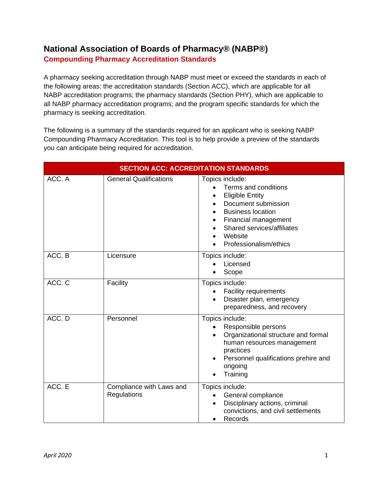## **National Association of Boards of Pharmacy® (NABP®) Compounding Pharmacy Accreditation Standards**

A pharmacy seeking accreditation through NABP must meet or exceed the standards in each of the following areas: the accreditation standards (Section ACC), which are applicable for all NABP accreditation programs; the pharmacy standards (Section PHY), which are applicable to all NABP pharmacy accreditation programs; and the program specific standards for which the pharmacy is seeking accreditation.

The following is a summary of the standards required for an applicant who is seeking NABP Compounding Pharmacy Accreditation. This tool is to help provide a preview of the standards you can anticipate being required for accreditation.

| <b>SECTION ACC: ACCREDITATION STANDARDS</b> |                                         |                                                                                                                                                                                                                 |  |
|---------------------------------------------|-----------------------------------------|-----------------------------------------------------------------------------------------------------------------------------------------------------------------------------------------------------------------|--|
| ACC. A                                      | <b>General Qualifications</b>           | Topics include:<br>Terms and conditions<br><b>Eligible Entity</b><br>Document submission<br><b>Business location</b><br>Financial management<br>Shared services/affiliates<br>Website<br>Professionalism/ethics |  |
| ACC. B                                      | Licensure                               | Topics include:<br>Licensed<br>Scope                                                                                                                                                                            |  |
| ACC. C                                      | Facility                                | Topics include:<br><b>Facility requirements</b><br>Disaster plan, emergency<br>preparedness, and recovery                                                                                                       |  |
| ACC. D                                      | Personnel                               | Topics include:<br>Responsible persons<br>Organizational structure and formal<br>human resources management<br>practices<br>Personnel qualifications prehire and<br>ongoing<br>Training                         |  |
| ACC. E                                      | Compliance with Laws and<br>Regulations | Topics include:<br>General compliance<br>Disciplinary actions, criminal<br>convictions, and civil settlements<br>Records                                                                                        |  |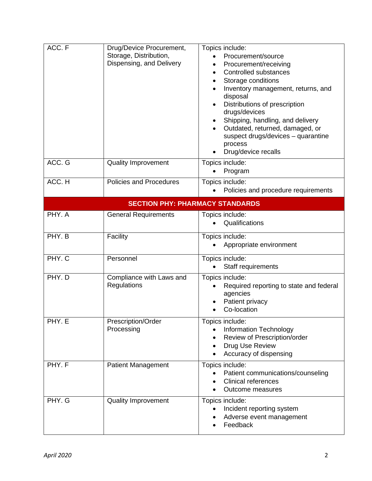| ACC. F                                 | Drug/Device Procurement,<br>Storage, Distribution,<br>Dispensing, and Delivery | Topics include:<br>Procurement/source<br>Procurement/receiving<br><b>Controlled substances</b><br>Storage conditions<br>Inventory management, returns, and<br>disposal<br>Distributions of prescription<br>drugs/devices<br>Shipping, handling, and delivery<br>Outdated, returned, damaged, or<br>suspect drugs/devices - quarantine<br>process<br>Drug/device recalls |  |  |
|----------------------------------------|--------------------------------------------------------------------------------|-------------------------------------------------------------------------------------------------------------------------------------------------------------------------------------------------------------------------------------------------------------------------------------------------------------------------------------------------------------------------|--|--|
| ACC. G                                 | <b>Quality Improvement</b>                                                     | Topics include:<br>Program                                                                                                                                                                                                                                                                                                                                              |  |  |
| ACC. H                                 | <b>Policies and Procedures</b>                                                 | Topics include:<br>Policies and procedure requirements                                                                                                                                                                                                                                                                                                                  |  |  |
| <b>SECTION PHY: PHARMACY STANDARDS</b> |                                                                                |                                                                                                                                                                                                                                                                                                                                                                         |  |  |
| PHY. A                                 | <b>General Requirements</b>                                                    | Topics include:<br>Qualifications<br>$\bullet$                                                                                                                                                                                                                                                                                                                          |  |  |
| PHY. B                                 | Facility                                                                       | Topics include:<br>Appropriate environment                                                                                                                                                                                                                                                                                                                              |  |  |
| PHY. C                                 | Personnel                                                                      | Topics include:<br>Staff requirements                                                                                                                                                                                                                                                                                                                                   |  |  |
| PHY. D                                 | Compliance with Laws and<br>Regulations                                        | Topics include:<br>Required reporting to state and federal<br>agencies<br>Patient privacy<br>Co-location                                                                                                                                                                                                                                                                |  |  |
| PHY. E                                 | Prescription/Order<br>Processing                                               | Topics include:<br><b>Information Technology</b><br>Review of Prescription/order<br>Drug Use Review<br>Accuracy of dispensing                                                                                                                                                                                                                                           |  |  |
| PHY. F                                 | <b>Patient Management</b>                                                      | Topics include:<br>Patient communications/counseling<br><b>Clinical references</b><br>Outcome measures                                                                                                                                                                                                                                                                  |  |  |
| PHY. G                                 | <b>Quality Improvement</b>                                                     | Topics include:<br>Incident reporting system<br>$\bullet$<br>Adverse event management<br>Feedback                                                                                                                                                                                                                                                                       |  |  |